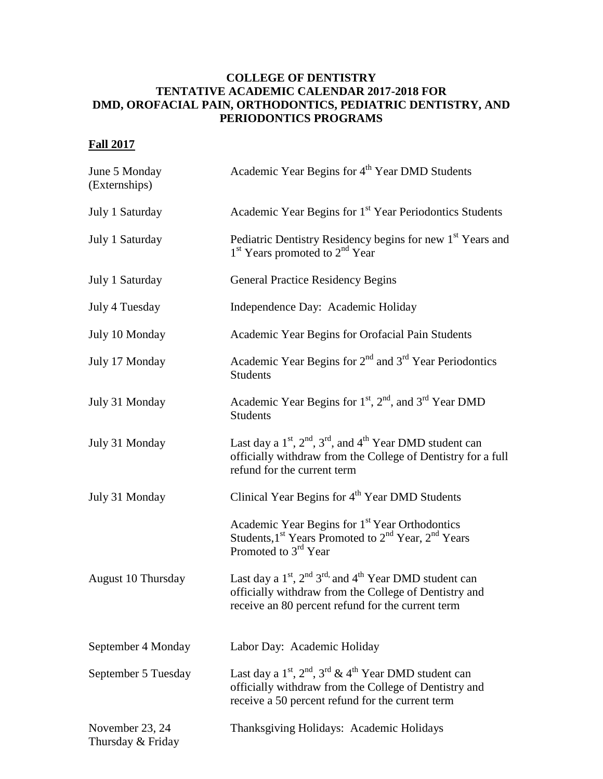## **COLLEGE OF DENTISTRY TENTATIVE ACADEMIC CALENDAR 2017-2018 FOR DMD, OROFACIAL PAIN, ORTHODONTICS, PEDIATRIC DENTISTRY, AND PERIODONTICS PROGRAMS**

## **Fall 2017**

| June 5 Monday<br>(Externships)       | Academic Year Begins for 4 <sup>th</sup> Year DMD Students                                                                                                                             |
|--------------------------------------|----------------------------------------------------------------------------------------------------------------------------------------------------------------------------------------|
| July 1 Saturday                      | Academic Year Begins for 1 <sup>st</sup> Year Periodontics Students                                                                                                                    |
| July 1 Saturday                      | Pediatric Dentistry Residency begins for new 1 <sup>st</sup> Years and<br>$1st$ Years promoted to $2nd$ Year                                                                           |
| July 1 Saturday                      | <b>General Practice Residency Begins</b>                                                                                                                                               |
| July 4 Tuesday                       | Independence Day: Academic Holiday                                                                                                                                                     |
| July 10 Monday                       | Academic Year Begins for Orofacial Pain Students                                                                                                                                       |
| July 17 Monday                       | Academic Year Begins for 2 <sup>nd</sup> and 3 <sup>rd</sup> Year Periodontics<br><b>Students</b>                                                                                      |
| July 31 Monday                       | Academic Year Begins for 1 <sup>st</sup> , 2 <sup>nd</sup> , and 3 <sup>rd</sup> Year DMD<br><b>Students</b>                                                                           |
| July 31 Monday                       | Last day a $1st$ , $2nd$ , $3rd$ , and $4th$ Year DMD student can<br>officially withdraw from the College of Dentistry for a full<br>refund for the current term                       |
| July 31 Monday                       | Clinical Year Begins for 4 <sup>th</sup> Year DMD Students                                                                                                                             |
|                                      | Academic Year Begins for 1 <sup>st</sup> Year Orthodontics<br>Students, $1^{st}$ Years Promoted to $2^{nd}$ Year, $2^{nd}$ Years<br>Promoted to 3 <sup>rd</sup> Year                   |
| August 10 Thursday                   | Last day a $1st$ , $2nd 3rd$ , and $4th$ Year DMD student can<br>officially withdraw from the College of Dentistry and<br>receive an 80 percent refund for the current term            |
| September 4 Monday                   | Labor Day: Academic Holiday                                                                                                                                                            |
| September 5 Tuesday                  | Last day a $1^{st}$ , $2^{nd}$ , $3^{rd}$ & $4^{th}$ Year DMD student can<br>officially withdraw from the College of Dentistry and<br>receive a 50 percent refund for the current term |
| November 23, 24<br>Thursday & Friday | Thanksgiving Holidays: Academic Holidays                                                                                                                                               |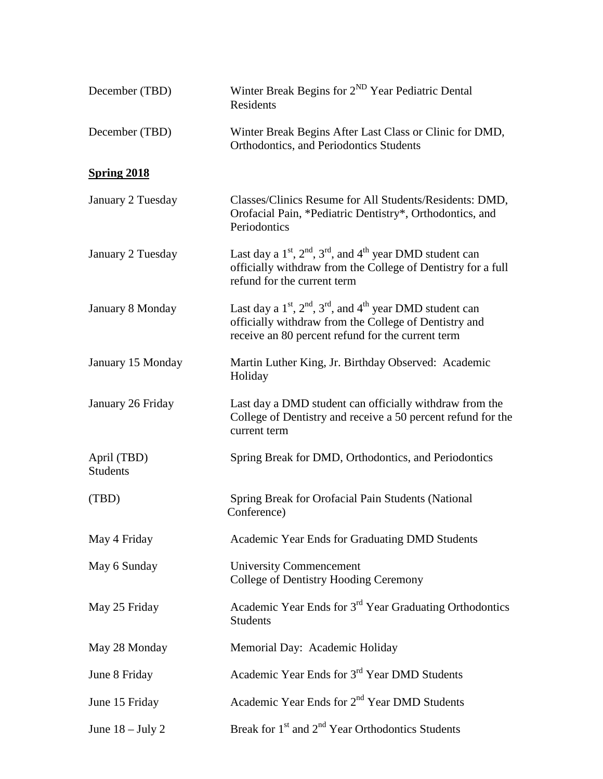| December (TBD)                 | Winter Break Begins for 2 <sup>ND</sup> Year Pediatric Dental<br>Residents                                                                                                                  |
|--------------------------------|---------------------------------------------------------------------------------------------------------------------------------------------------------------------------------------------|
| December (TBD)                 | Winter Break Begins After Last Class or Clinic for DMD,<br>Orthodontics, and Periodontics Students                                                                                          |
| <b>Spring 2018</b>             |                                                                                                                                                                                             |
| January 2 Tuesday              | Classes/Clinics Resume for All Students/Residents: DMD,<br>Orofacial Pain, *Pediatric Dentistry*, Orthodontics, and<br>Periodontics                                                         |
| January 2 Tuesday              | Last day a $1^{st}$ , $2^{nd}$ , $3^{rd}$ , and $4^{th}$ year DMD student can<br>officially withdraw from the College of Dentistry for a full<br>refund for the current term                |
| January 8 Monday               | Last day a $1^{st}$ , $2^{nd}$ , $3^{rd}$ , and $4^{th}$ year DMD student can<br>officially withdraw from the College of Dentistry and<br>receive an 80 percent refund for the current term |
| January 15 Monday              | Martin Luther King, Jr. Birthday Observed: Academic<br>Holiday                                                                                                                              |
| January 26 Friday              | Last day a DMD student can officially withdraw from the<br>College of Dentistry and receive a 50 percent refund for the<br>current term                                                     |
| April (TBD)<br><b>Students</b> | Spring Break for DMD, Orthodontics, and Periodontics                                                                                                                                        |
| (TBD)                          | Spring Break for Orofacial Pain Students (National<br>Conference)                                                                                                                           |
| May 4 Friday                   | Academic Year Ends for Graduating DMD Students                                                                                                                                              |
| May 6 Sunday                   | <b>University Commencement</b><br>College of Dentistry Hooding Ceremony                                                                                                                     |
| May 25 Friday                  | Academic Year Ends for 3 <sup>rd</sup> Year Graduating Orthodontics<br><b>Students</b>                                                                                                      |
| May 28 Monday                  | Memorial Day: Academic Holiday                                                                                                                                                              |
| June 8 Friday                  | Academic Year Ends for 3 <sup>rd</sup> Year DMD Students                                                                                                                                    |
| June 15 Friday                 | Academic Year Ends for 2 <sup>nd</sup> Year DMD Students                                                                                                                                    |
| June $18 -$ July 2             | Break for 1 <sup>st</sup> and 2 <sup>nd</sup> Year Orthodontics Students                                                                                                                    |